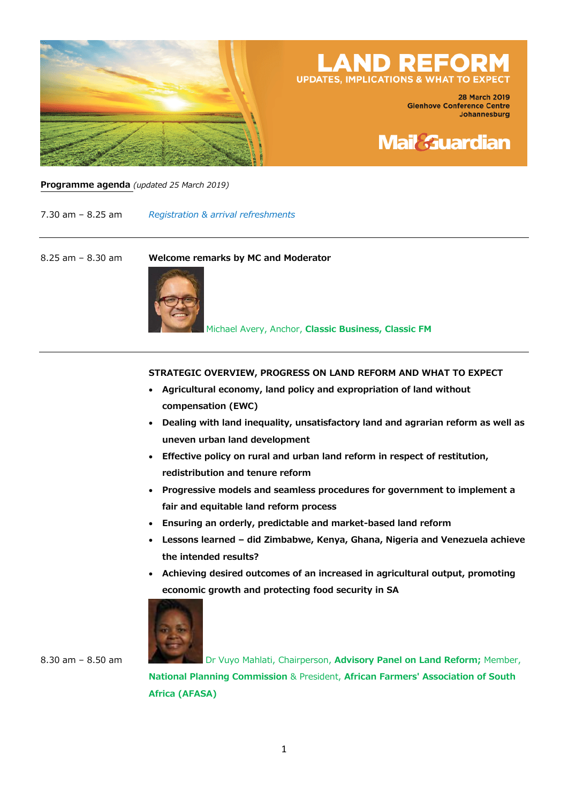

# **LAND REFOR UPDATES, IMPLICATIONS & WHAT TO EX**

**28 March 2019 Glenhove Conference Centre** Johannesburg



**Programme agenda** *(updated 25 March 2019)*

7.30 am – 8.25 am *Registration & arrival refreshments*

8.25 am – 8.30 am **Welcome remarks by MC and Moderator**



Michael Avery, Anchor, **Classic Business, Classic FM**

#### **STRATEGIC OVERVIEW, PROGRESS ON LAND REFORM AND WHAT TO EXPECT**

- **Agricultural economy, land policy and expropriation of land without compensation (EWC)**
- **Dealing with land inequality, unsatisfactory land and agrarian reform as well as uneven urban land development**
- **Effective policy on rural and urban land reform in respect of restitution, redistribution and tenure reform**
- **Progressive models and seamless procedures for government to implement a fair and equitable land reform process**
- **Ensuring an orderly, predictable and market-based land reform**
- **Lessons learned – did Zimbabwe, Kenya, Ghana, Nigeria and Venezuela achieve the intended results?**
- **Achieving desired outcomes of an increased in agricultural output, promoting economic growth and protecting food security in SA**



8.30 am – 8.50 am Dr Vuyo Mahlati, Chairperson, Advisory Panel on Land Reform; Member, **National Planning Commission** & President, **African Farmers' Association of South Africa (AFASA)**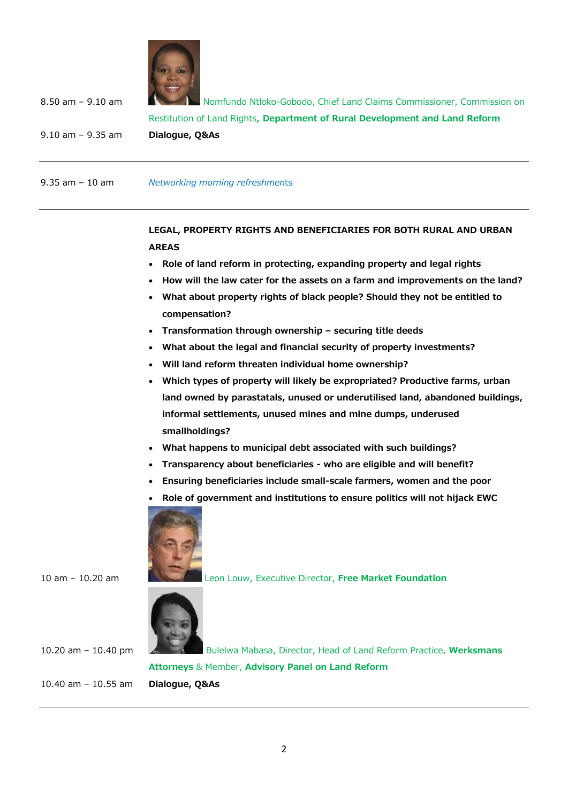

8.50 am – 9.10 am Nomfundo Ntloko-Gobodo, Chief Land Claims Commissioner, Commission on Restitution of Land Rights**, Department of Rural Development and Land Reform** 9.10 am – 9.35 am **Dialogue, Q&As**

9.35 am – 10 am *Networking morning refreshmen*ts

## **LEGAL, PROPERTY RIGHTS AND BENEFICIARIES FOR BOTH RURAL AND URBAN AREAS**

- **Role of land reform in protecting, expanding property and legal rights**
- **How will the law cater for the assets on a farm and improvements on the land?**
- **What about property rights of black people? Should they not be entitled to compensation?**
- **Transformation through ownership – securing title deeds**
- **What about the legal and financial security of property investments?**
- **Will land reform threaten individual home ownership?**
- **Which types of property will likely be expropriated? Productive farms, urban land owned by parastatals, unused or underutilised land, abandoned buildings, informal settlements, unused mines and mine dumps, underused smallholdings?**
- **What happens to municipal debt associated with such buildings?**
- **Transparency about beneficiaries - who are eligible and will benefit?**
- **Ensuring beneficiaries include small-scale farmers, women and the poor**
- **Role of government and institutions to ensure politics will not hijack EWC**



10 am – 10.20 am Leon Louw, Executive Director, **Free Market Foundation**



10.20 am – 10.40 pm Bulelwa Mabasa, Director, Head of Land Reform Practice, **Werksmans Attorneys** & Member, **Advisory Panel on Land Reform** 10.40 am – 10.55 am **Dialogue, Q&As**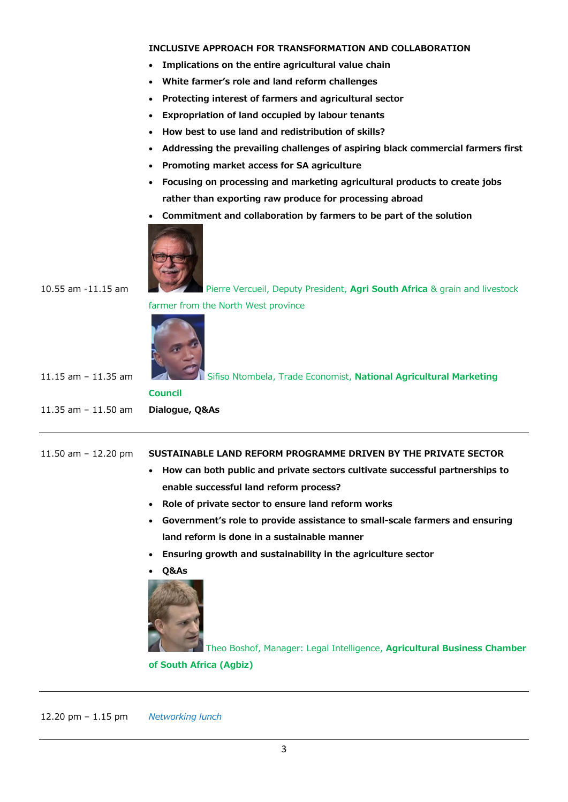#### **INCLUSIVE APPROACH FOR TRANSFORMATION AND COLLABORATION**

- **Implications on the entire agricultural value chain**
- **White farmer's role and land reform challenges**
- **Protecting interest of farmers and agricultural sector**
- **Expropriation of land occupied by labour tenants**
- **How best to use land and redistribution of skills?**
- **Addressing the prevailing challenges of aspiring black commercial farmers first**
- **Promoting market access for SA agriculture**
- **Focusing on processing and marketing agricultural products to create jobs rather than exporting raw produce for processing abroad**
- **Commitment and collaboration by farmers to be part of the solution**



10.55 am -11.15 am Pierre Vercueil, Deputy President, **Agri South Africa** & grain and livestock farmer from the North West province



11.15 am – 11.35 am Sifiso Ntombela, Trade Economist, **National Agricultural Marketing Council** 11.35 am – 11.50 am **Dialogue, Q&As**

#### 11.50 am – 12.20 pm **SUSTAINABLE LAND REFORM PROGRAMME DRIVEN BY THE PRIVATE SECTOR**

- **How can both public and private sectors cultivate successful partnerships to enable successful land reform process?**
- **Role of private sector to ensure land reform works**
- **Government's role to provide assistance to small-scale farmers and ensuring land reform is done in a sustainable manner**
- **Ensuring growth and sustainability in the agriculture sector**
- **Q&As**



Theo Boshof, Manager: Legal Intelligence, **Agricultural Business Chamber of South Africa (Agbiz)**

12.20 pm – 1.15 pm *Networking lunch*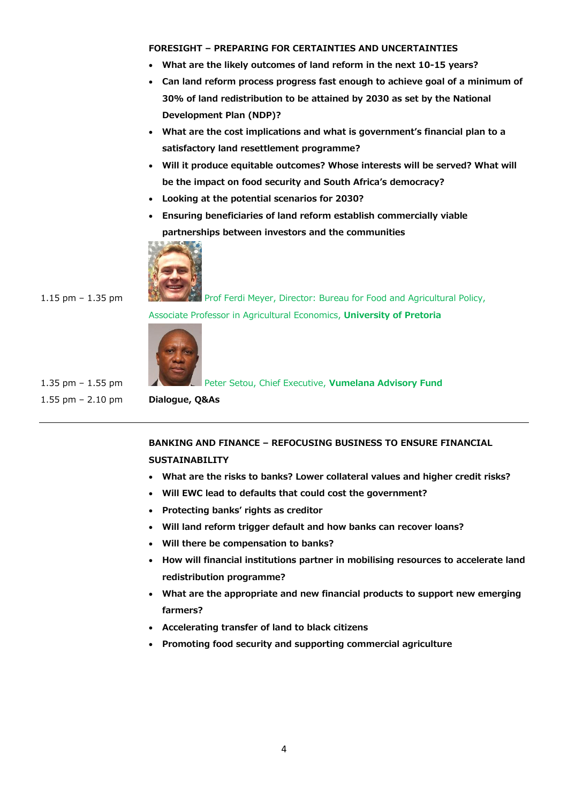#### **FORESIGHT – PREPARING FOR CERTAINTIES AND UNCERTAINTIES**

- **What are the likely outcomes of land reform in the next 10-15 years?**
- **Can land reform process progress fast enough to achieve goal of a minimum of 30% of land redistribution to be attained by 2030 as set by the National Development Plan (NDP)?**
- **What are the cost implications and what is government's financial plan to a satisfactory land resettlement programme?**
- **Will it produce equitable outcomes? Whose interests will be served? What will be the impact on food security and South Africa's democracy?**
- **Looking at the potential scenarios for 2030?**
- **Ensuring beneficiaries of land reform establish commercially viable partnerships between investors and the communities**



1.15 pm – 1.35 pm Prof Ferdi Meyer, Director: Bureau for Food and [Agricultural](http://bfap.co.za/) Policy, Associate Professor in Agricultural Economics, **University of Pretoria**



1.55 pm – 2.10 pm **Dialogue, Q&As**

1.35 pm – 1.55 pm

## **BANKING AND FINANCE – REFOCUSING BUSINESS TO ENSURE FINANCIAL SUSTAINABILITY**

- **What are the risks to banks? Lower collateral values and higher credit risks?**
- **Will EWC lead to defaults that could cost the government?**
- **Protecting banks' rights as creditor**
- **Will land reform trigger default and how banks can recover loans?**
- **Will there be compensation to banks?**
- **How will financial institutions partner in mobilising resources to accelerate land redistribution programme?**
- **What are the appropriate and new financial products to support new emerging farmers?**
- **Accelerating transfer of land to black citizens**
- **Promoting food security and supporting commercial agriculture**